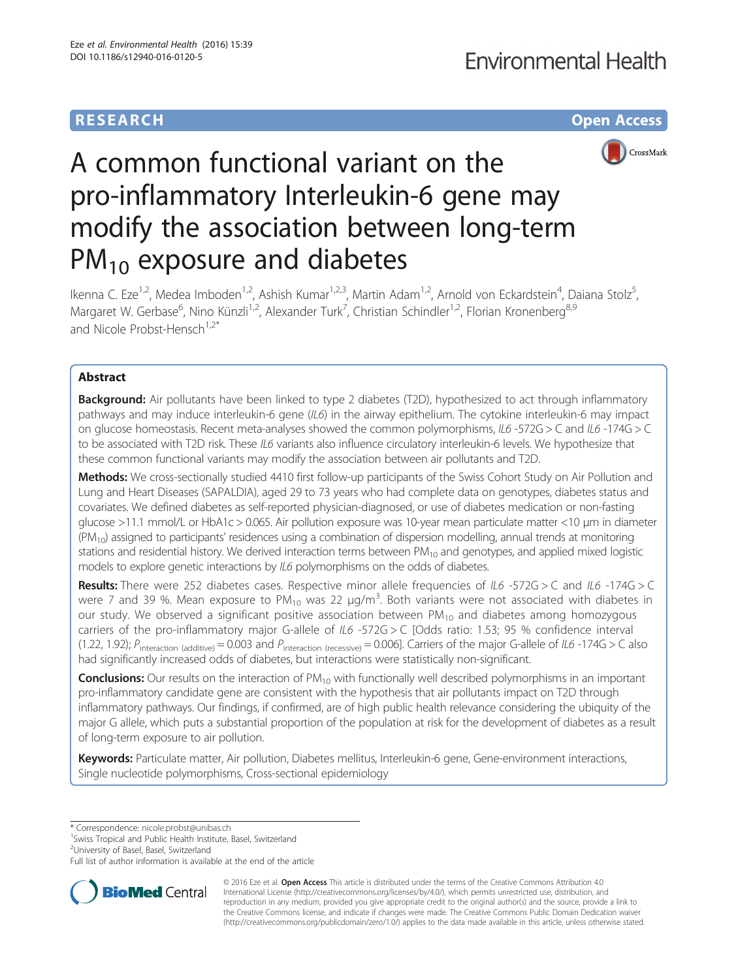# **RESEARCH CHE Open Access**



# A common functional variant on the pro-inflammatory Interleukin-6 gene may modify the association between long-term  $PM_{10}$  exposure and diabetes

Ikenna C. Eze<sup>1,2</sup>, Medea Imboden<sup>1,2</sup>, Ashish Kumar<sup>1,2,3</sup>, Martin Adam<sup>1,2</sup>, Arnold von Eckardstein<sup>4</sup>, Daiana Stolz<sup>5</sup> , Margaret W. Gerbase<sup>6</sup>, Nino Künzli<sup>1,2</sup>, Alexander Turk<sup>7</sup>, Christian Schindler<sup>1,2</sup>, Florian Kronenberg<sup>8,9</sup> and Nicole Probst-Hensch<sup>1,2\*</sup>

# Abstract

**Background:** Air pollutants have been linked to type 2 diabetes (T2D), hypothesized to act through inflammatory pathways and may induce interleukin-6 gene (IL6) in the airway epithelium. The cytokine interleukin-6 may impact on glucose homeostasis. Recent meta-analyses showed the common polymorphisms, IL6 -572G > C and IL6 -174G > C to be associated with T2D risk. These IL6 variants also influence circulatory interleukin-6 levels. We hypothesize that these common functional variants may modify the association between air pollutants and T2D.

Methods: We cross-sectionally studied 4410 first follow-up participants of the Swiss Cohort Study on Air Pollution and Lung and Heart Diseases (SAPALDIA), aged 29 to 73 years who had complete data on genotypes, diabetes status and covariates. We defined diabetes as self-reported physician-diagnosed, or use of diabetes medication or non-fasting glucose >11.1 mmol/L or HbA1c > 0.065. Air pollution exposure was 10-year mean particulate matter <10 μm in diameter  $(PM_{10})$  assigned to participants' residences using a combination of dispersion modelling, annual trends at monitoring stations and residential history. We derived interaction terms between  $PM_{10}$  and genotypes, and applied mixed logistic models to explore genetic interactions by IL6 polymorphisms on the odds of diabetes.

Results: There were 252 diabetes cases. Respective minor allele frequencies of IL6 -572G > C and IL6 -174G > C were 7 and 39 %. Mean exposure to PM<sub>10</sub> was 22  $\mu$ g/m<sup>3</sup>. Both variants were not associated with diabetes in our study. We observed a significant positive association between  $PM_{10}$  and diabetes among homozygous carriers of the pro-inflammatory major G-allele of IL6 -572G > C [Odds ratio: 1.53; 95 % confidence interval (1.22, 1.92);  $P_{\text{interaction (additive)}} = 0.003$  and  $P_{\text{interaction (recessive)}} = 0.006$ ]. Carriers of the major G-allele of IL6 -174G > C also had significantly increased odds of diabetes, but interactions were statistically non-significant.

**Conclusions:** Our results on the interaction of  $PM_{10}$  with functionally well described polymorphisms in an important pro-inflammatory candidate gene are consistent with the hypothesis that air pollutants impact on T2D through inflammatory pathways. Our findings, if confirmed, are of high public health relevance considering the ubiquity of the major G allele, which puts a substantial proportion of the population at risk for the development of diabetes as a result of long-term exposure to air pollution.

Keywords: Particulate matter, Air pollution, Diabetes mellitus, Interleukin-6 gene, Gene-environment interactions, Single nucleotide polymorphisms, Cross-sectional epidemiology

\* Correspondence: [nicole.probst@unibas.ch](mailto:nicole.probst@unibas.ch) <sup>1</sup>

<sup>1</sup> Swiss Tropical and Public Health Institute, Basel, Switzerland

<sup>2</sup>University of Basel, Basel, Switzerland

Full list of author information is available at the end of the article



© 2016 Eze et al. Open Access This article is distributed under the terms of the Creative Commons Attribution 4.0 International License [\(http://creativecommons.org/licenses/by/4.0/](http://creativecommons.org/licenses/by/4.0/)), which permits unrestricted use, distribution, and reproduction in any medium, provided you give appropriate credit to the original author(s) and the source, provide a link to the Creative Commons license, and indicate if changes were made. The Creative Commons Public Domain Dedication waiver [\(http://creativecommons.org/publicdomain/zero/1.0/](http://creativecommons.org/publicdomain/zero/1.0/)) applies to the data made available in this article, unless otherwise stated.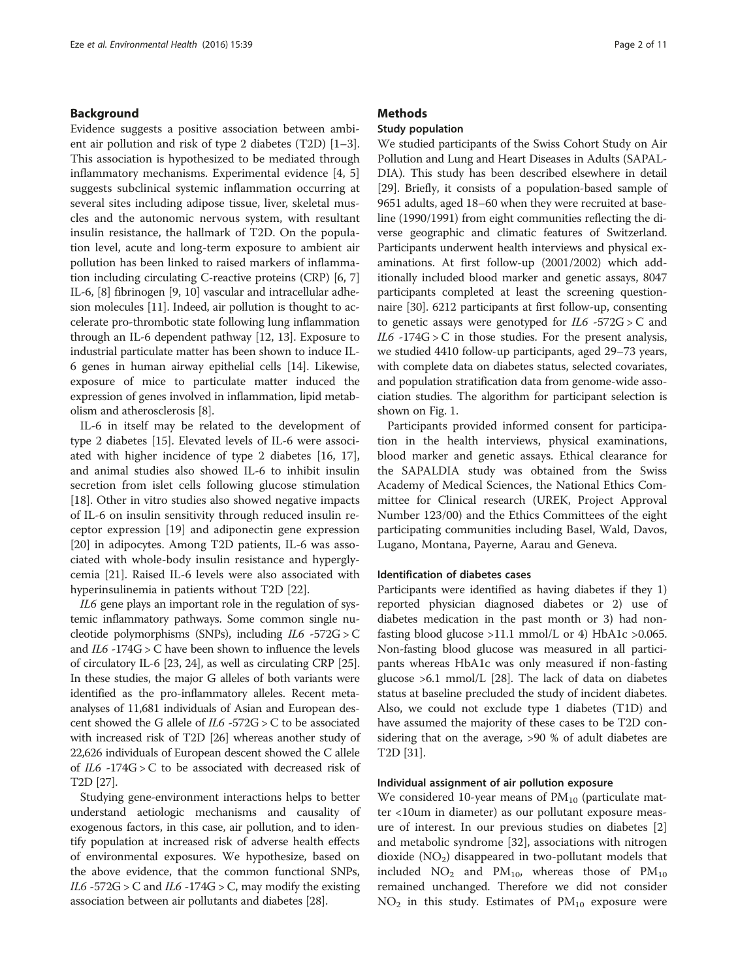# Background

Evidence suggests a positive association between ambient air pollution and risk of type 2 diabetes (T2D) [\[1](#page-9-0)–[3](#page-9-0)]. This association is hypothesized to be mediated through inflammatory mechanisms. Experimental evidence [[4, 5](#page-9-0)] suggests subclinical systemic inflammation occurring at several sites including adipose tissue, liver, skeletal muscles and the autonomic nervous system, with resultant insulin resistance, the hallmark of T2D. On the population level, acute and long-term exposure to ambient air pollution has been linked to raised markers of inflammation including circulating C-reactive proteins (CRP) [\[6](#page-9-0), [7](#page-9-0)] IL-6, [[8](#page-9-0)] fibrinogen [\[9](#page-9-0), [10\]](#page-9-0) vascular and intracellular adhesion molecules [\[11\]](#page-9-0). Indeed, air pollution is thought to accelerate pro-thrombotic state following lung inflammation through an IL-6 dependent pathway [\[12, 13\]](#page-9-0). Exposure to industrial particulate matter has been shown to induce IL-6 genes in human airway epithelial cells [[14](#page-9-0)]. Likewise, exposure of mice to particulate matter induced the expression of genes involved in inflammation, lipid metabolism and atherosclerosis [\[8\]](#page-9-0).

IL-6 in itself may be related to the development of type 2 diabetes [[15](#page-9-0)]. Elevated levels of IL-6 were associated with higher incidence of type 2 diabetes [[16, 17](#page-9-0)], and animal studies also showed IL-6 to inhibit insulin secretion from islet cells following glucose stimulation [[18\]](#page-9-0). Other in vitro studies also showed negative impacts of IL-6 on insulin sensitivity through reduced insulin receptor expression [[19\]](#page-9-0) and adiponectin gene expression [[20\]](#page-9-0) in adipocytes. Among T2D patients, IL-6 was associated with whole-body insulin resistance and hyperglycemia [[21\]](#page-9-0). Raised IL-6 levels were also associated with hyperinsulinemia in patients without T2D [[22\]](#page-9-0).

IL6 gene plays an important role in the regulation of systemic inflammatory pathways. Some common single nucleotide polymorphisms (SNPs), including IL6 -572G > C and  $IL6 - 174G > C$  have been shown to influence the levels of circulatory IL-6 [\[23, 24\]](#page-9-0), as well as circulating CRP [[25](#page-9-0)]. In these studies, the major G alleles of both variants were identified as the pro-inflammatory alleles. Recent metaanalyses of 11,681 individuals of Asian and European descent showed the G allele of  $IL6 - 572G > C$  to be associated with increased risk of T2D [\[26\]](#page-9-0) whereas another study of 22,626 individuals of European descent showed the C allele of  $IL6 - 174G > C$  to be associated with decreased risk of T2D [[27](#page-9-0)].

Studying gene-environment interactions helps to better understand aetiologic mechanisms and causality of exogenous factors, in this case, air pollution, and to identify population at increased risk of adverse health effects of environmental exposures. We hypothesize, based on the above evidence, that the common functional SNPs, IL6 -572G > C and IL6 -174G > C, may modify the existing association between air pollutants and diabetes [[28\]](#page-9-0).

### **Methods**

# Study population

We studied participants of the Swiss Cohort Study on Air Pollution and Lung and Heart Diseases in Adults (SAPAL-DIA). This study has been described elsewhere in detail [[29](#page-9-0)]. Briefly, it consists of a population-based sample of 9651 adults, aged 18–60 when they were recruited at baseline (1990/1991) from eight communities reflecting the diverse geographic and climatic features of Switzerland. Participants underwent health interviews and physical examinations. At first follow-up (2001/2002) which additionally included blood marker and genetic assays, 8047 participants completed at least the screening questionnaire [\[30\]](#page-9-0). 6212 participants at first follow-up, consenting to genetic assays were genotyped for  $IL6 - 572G > C$  and  $IL6 -174G > C$  in those studies. For the present analysis, we studied 4410 follow-up participants, aged 29–73 years, with complete data on diabetes status, selected covariates, and population stratification data from genome-wide association studies. The algorithm for participant selection is shown on Fig. [1](#page-2-0).

Participants provided informed consent for participation in the health interviews, physical examinations, blood marker and genetic assays. Ethical clearance for the SAPALDIA study was obtained from the Swiss Academy of Medical Sciences, the National Ethics Committee for Clinical research (UREK, Project Approval Number 123/00) and the Ethics Committees of the eight participating communities including Basel, Wald, Davos, Lugano, Montana, Payerne, Aarau and Geneva.

## Identification of diabetes cases

Participants were identified as having diabetes if they 1) reported physician diagnosed diabetes or 2) use of diabetes medication in the past month or 3) had nonfasting blood glucose >11.1 mmol/L or 4) HbA1c >0.065. Non-fasting blood glucose was measured in all participants whereas HbA1c was only measured if non-fasting glucose >6.1 mmol/L [[28](#page-9-0)]. The lack of data on diabetes status at baseline precluded the study of incident diabetes. Also, we could not exclude type 1 diabetes (T1D) and have assumed the majority of these cases to be T2D considering that on the average, >90 % of adult diabetes are T2D [[31](#page-9-0)].

#### Individual assignment of air pollution exposure

We considered 10-year means of  $PM_{10}$  (particulate matter <10um in diameter) as our pollutant exposure measure of interest. In our previous studies on diabetes [\[2](#page-9-0)] and metabolic syndrome [[32\]](#page-9-0), associations with nitrogen dioxide  $(NO<sub>2</sub>)$  disappeared in two-pollutant models that included  $NO_2$  and  $PM_{10}$ , whereas those of  $PM_{10}$ remained unchanged. Therefore we did not consider  $NO<sub>2</sub>$  in this study. Estimates of  $PM<sub>10</sub>$  exposure were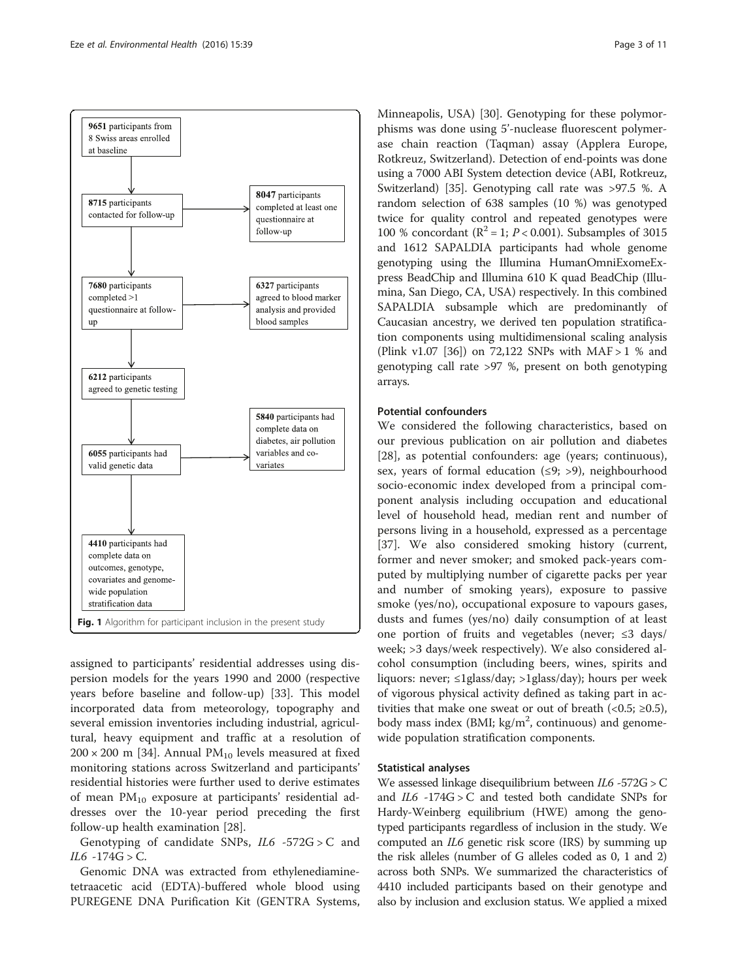<span id="page-2-0"></span>

assigned to participants' residential addresses using dispersion models for the years 1990 and 2000 (respective years before baseline and follow-up) [[33](#page-9-0)]. This model incorporated data from meteorology, topography and several emission inventories including industrial, agricultural, heavy equipment and traffic at a resolution of  $200 \times 200$  m [[34\]](#page-9-0). Annual PM<sub>10</sub> levels measured at fixed monitoring stations across Switzerland and participants' residential histories were further used to derive estimates of mean  $PM_{10}$  exposure at participants' residential addresses over the 10-year period preceding the first follow-up health examination [\[28](#page-9-0)].

Genotyping of candidate SNPs,  $IL6 -572G > C$  and  $IL6 - 174G > C.$ 

Genomic DNA was extracted from ethylenediaminetetraacetic acid (EDTA)-buffered whole blood using PUREGENE DNA Purification Kit (GENTRA Systems,

Minneapolis, USA) [[30](#page-9-0)]. Genotyping for these polymorphisms was done using 5'-nuclease fluorescent polymerase chain reaction (Taqman) assay (Applera Europe, Rotkreuz, Switzerland). Detection of end-points was done using a 7000 ABI System detection device (ABI, Rotkreuz, Switzerland) [\[35\]](#page--1-0). Genotyping call rate was >97.5 %. A random selection of 638 samples (10 %) was genotyped twice for quality control and repeated genotypes were 100 % concordant ( $\mathbb{R}^2 = 1$ ;  $P < 0.001$ ). Subsamples of 3015 and 1612 SAPALDIA participants had whole genome genotyping using the Illumina HumanOmniExomeExpress BeadChip and Illumina 610 K quad BeadChip (Illumina, San Diego, CA, USA) respectively. In this combined SAPALDIA subsample which are predominantly of Caucasian ancestry, we derived ten population stratification components using multidimensional scaling analysis (Plink v1.07 [\[36\]](#page--1-0)) on 72,122 SNPs with MAF > 1 % and genotyping call rate >97 %, present on both genotyping arrays.

# Potential confounders

We considered the following characteristics, based on our previous publication on air pollution and diabetes [[28\]](#page-9-0), as potential confounders: age (years; continuous), sex, years of formal education  $(≤9; >9)$ , neighbourhood socio-economic index developed from a principal component analysis including occupation and educational level of household head, median rent and number of persons living in a household, expressed as a percentage [[37\]](#page--1-0). We also considered smoking history (current, former and never smoker; and smoked pack-years computed by multiplying number of cigarette packs per year and number of smoking years), exposure to passive smoke (yes/no), occupational exposure to vapours gases, dusts and fumes (yes/no) daily consumption of at least one portion of fruits and vegetables (never; ≤3 days/ week; >3 days/week respectively). We also considered alcohol consumption (including beers, wines, spirits and liquors: never; ≤1glass/day; >1glass/day); hours per week of vigorous physical activity defined as taking part in activities that make one sweat or out of breath  $\left($  < 0.5;  $\geq$  0.5), body mass index (BMI;  $\text{kg/m}^2$ , continuous) and genomewide population stratification components.

## Statistical analyses

We assessed linkage disequilibrium between IL6 -572G > C and  $IL6 - 174G > C$  and tested both candidate SNPs for Hardy-Weinberg equilibrium (HWE) among the genotyped participants regardless of inclusion in the study. We computed an IL6 genetic risk score (IRS) by summing up the risk alleles (number of G alleles coded as 0, 1 and 2) across both SNPs. We summarized the characteristics of 4410 included participants based on their genotype and also by inclusion and exclusion status. We applied a mixed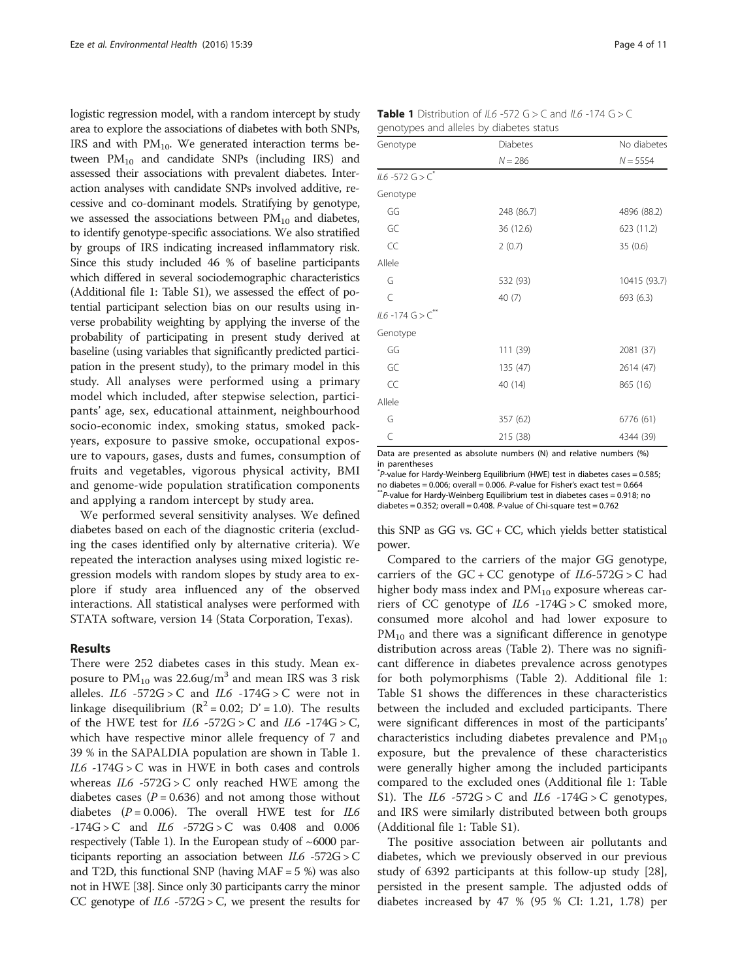<span id="page-3-0"></span>logistic regression model, with a random intercept by study area to explore the associations of diabetes with both SNPs, IRS and with  $PM_{10}$ . We generated interaction terms between  $PM_{10}$  and candidate SNPs (including IRS) and assessed their associations with prevalent diabetes. Interaction analyses with candidate SNPs involved additive, recessive and co-dominant models. Stratifying by genotype, we assessed the associations between  $PM_{10}$  and diabetes, to identify genotype-specific associations. We also stratified by groups of IRS indicating increased inflammatory risk. Since this study included 46 % of baseline participants which differed in several sociodemographic characteristics (Additional file [1](#page-8-0): Table S1), we assessed the effect of potential participant selection bias on our results using inverse probability weighting by applying the inverse of the probability of participating in present study derived at baseline (using variables that significantly predicted participation in the present study), to the primary model in this study. All analyses were performed using a primary model which included, after stepwise selection, participants' age, sex, educational attainment, neighbourhood socio-economic index, smoking status, smoked packyears, exposure to passive smoke, occupational exposure to vapours, gases, dusts and fumes, consumption of fruits and vegetables, vigorous physical activity, BMI and genome-wide population stratification components and applying a random intercept by study area.

We performed several sensitivity analyses. We defined diabetes based on each of the diagnostic criteria (excluding the cases identified only by alternative criteria). We repeated the interaction analyses using mixed logistic regression models with random slopes by study area to explore if study area influenced any of the observed interactions. All statistical analyses were performed with STATA software, version 14 (Stata Corporation, Texas).

## Results

There were 252 diabetes cases in this study. Mean exposure to  $PM_{10}$  was 22.6ug/m<sup>3</sup> and mean IRS was 3 risk alleles.  $IL6 - 572G > C$  and  $IL6 - 174G > C$  were not in linkage disequilibrium  $(R^2 = 0.02; D' = 1.0)$ . The results of the HWE test for  $IL6 -572G > C$  and  $IL6 -174G > C$ , which have respective minor allele frequency of 7 and 39 % in the SAPALDIA population are shown in Table 1.  $IL6 - 174G > C$  was in HWE in both cases and controls whereas  $IL6 - 572G > C$  only reached HWE among the diabetes cases ( $P = 0.636$ ) and not among those without diabetes ( $P = 0.006$ ). The overall HWE test for *IL6*  $-174G > C$  and  $IL6 -572G > C$  was 0.408 and 0.006 respectively (Table 1). In the European study of  $~6000$  participants reporting an association between  $IL6 - 572G > C$ and T2D, this functional SNP (having  $MAF = 5$ %) was also not in HWE [\[38\]](#page--1-0). Since only 30 participants carry the minor CC genotype of  $IL6 - 572G > C$ , we present the results for

| <b>Table 1</b> Distribution of IL6 -572 G > C and IL6 -174 G > C |  |
|------------------------------------------------------------------|--|
| genotypes and alleles by diabetes status                         |  |

| Genotype               | Diabetes   | No diabetes  |
|------------------------|------------|--------------|
|                        | $N = 286$  | $N = 5554$   |
| IL6 -572 $G > C^*$     |            |              |
| Genotype               |            |              |
| GG                     | 248 (86.7) | 4896 (88.2)  |
| GC                     | 36 (12.6)  | 623 (11.2)   |
| CC                     | 2(0.7)     | 35 (0.6)     |
| Allele                 |            |              |
| G                      | 532 (93)   | 10415 (93.7) |
| C                      | 40(7)      | 693 (6.3)    |
| $IL6 - 174 G > C^{**}$ |            |              |
| Genotype               |            |              |
| GG                     | 111 (39)   | 2081 (37)    |
| GC                     | 135 (47)   | 2614 (47)    |
| CC                     | 40 (14)    | 865 (16)     |
| Allele                 |            |              |
| G                      | 357 (62)   | 6776 (61)    |
| C                      | 215 (38)   | 4344 (39)    |

Data are presented as absolute numbers (N) and relative numbers (%) in parentheses

\* P-value for Hardy-Weinberg Equilibrium (HWE) test in diabetes cases = 0.585; no diabetes = 0.006; overall = 0.006. P-value for Fisher's exact test = 0.664<br>\*\*P-value for Hardy-Weinberg Equilibrium test in diabetes cases = 0.918; no diabetes =  $0.352$ ; overall =  $0.408$ . *P*-value of Chi-square test =  $0.762$ 

this SNP as GG vs.  $GC + CC$ , which yields better statistical power.

Compared to the carriers of the major GG genotype, carriers of the  $GC + CC$  genotype of  $IL6-572G > C$  had higher body mass index and  $PM_{10}$  exposure whereas carriers of CC genotype of  $IL6 -174G > C$  smoked more, consumed more alcohol and had lower exposure to  $PM_{10}$  and there was a significant difference in genotype distribution across areas (Table [2\)](#page-4-0). There was no significant difference in diabetes prevalence across genotypes for both polymorphisms (Table [2\)](#page-4-0). Additional file [1](#page-8-0): Table S1 shows the differences in these characteristics between the included and excluded participants. There were significant differences in most of the participants' characteristics including diabetes prevalence and  $PM_{10}$ exposure, but the prevalence of these characteristics were generally higher among the included participants compared to the excluded ones (Additional file [1:](#page-8-0) Table S1). The *IL6*  $-572G > C$  and *IL6*  $-174G > C$  genotypes, and IRS were similarly distributed between both groups (Additional file [1](#page-8-0): Table S1).

The positive association between air pollutants and diabetes, which we previously observed in our previous study of 6392 participants at this follow-up study [\[28](#page-9-0)], persisted in the present sample. The adjusted odds of diabetes increased by 47 % (95 % CI: 1.21, 1.78) per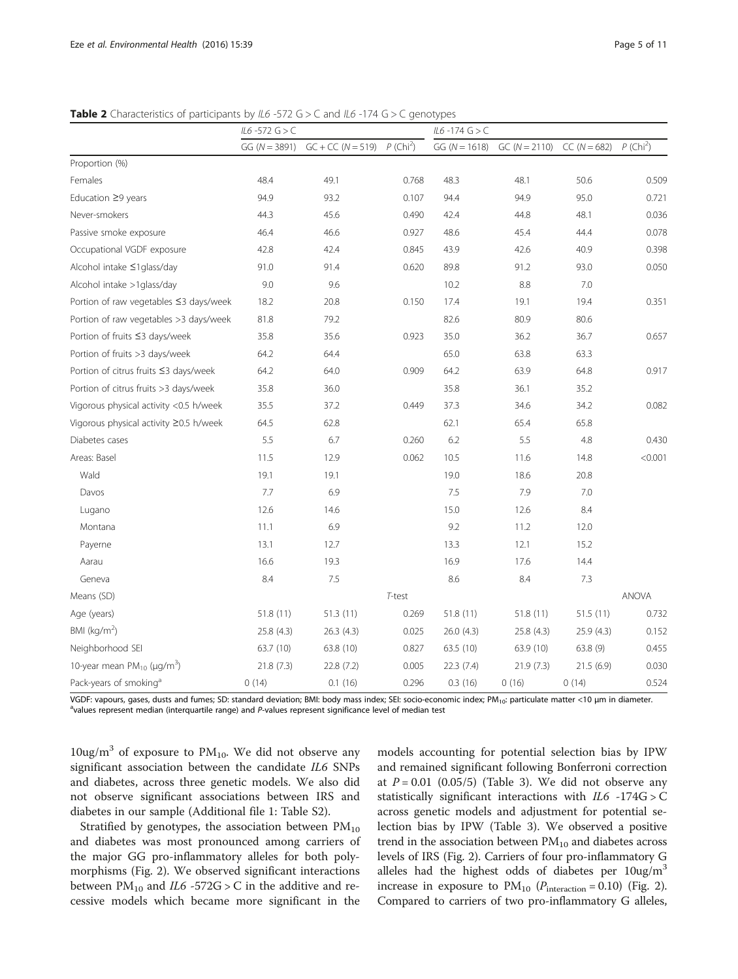<span id="page-4-0"></span>**Table 2** Characteristics of participants by IL6 -572 G > C and IL6 -174 G > C genotypes

|                                                   | $IL6 - 572 G > C$ |                     |                         | $IL6 - 174 G > C$ |                 |                |                         |
|---------------------------------------------------|-------------------|---------------------|-------------------------|-------------------|-----------------|----------------|-------------------------|
|                                                   | $GG (N = 3891)$   | $GC + CC (N = 519)$ | $P$ (Chi <sup>2</sup> ) | $GG (N = 1618)$   | $GC (N = 2110)$ | $CC (N = 682)$ | $P$ (Chi <sup>2</sup> ) |
| Proportion (%)                                    |                   |                     |                         |                   |                 |                |                         |
| Females                                           | 48.4              | 49.1                | 0.768                   | 48.3              | 48.1            | 50.6           | 0.509                   |
| Education ≥9 years                                | 94.9              | 93.2                | 0.107                   | 94.4              | 94.9            | 95.0           | 0.721                   |
| Never-smokers                                     | 44.3              | 45.6                | 0.490                   | 42.4              | 44.8            | 48.1           | 0.036                   |
| Passive smoke exposure                            | 46.4              | 46.6                | 0.927                   | 48.6              | 45.4            | 44.4           | 0.078                   |
| Occupational VGDF exposure                        | 42.8              | 42.4                | 0.845                   | 43.9              | 42.6            | 40.9           | 0.398                   |
| Alcohol intake ≤1glass/day                        | 91.0              | 91.4                | 0.620                   | 89.8              | 91.2            | 93.0           | 0.050                   |
| Alcohol intake >1glass/day                        | 9.0               | 9.6                 |                         | 10.2              | 8.8             | 7.0            |                         |
| Portion of raw vegetables ≤3 days/week            | 18.2              | 20.8                | 0.150                   | 17.4              | 19.1            | 19.4           | 0.351                   |
| Portion of raw vegetables >3 days/week            | 81.8              | 79.2                |                         | 82.6              | 80.9            | 80.6           |                         |
| Portion of fruits ≤3 days/week                    | 35.8              | 35.6                | 0.923                   | 35.0              | 36.2            | 36.7           | 0.657                   |
| Portion of fruits >3 days/week                    | 64.2              | 64.4                |                         | 65.0              | 63.8            | 63.3           |                         |
| Portion of citrus fruits ≤3 days/week             | 64.2              | 64.0                | 0.909                   | 64.2              | 63.9            | 64.8           | 0.917                   |
| Portion of citrus fruits >3 days/week             | 35.8              | 36.0                |                         | 35.8              | 36.1            | 35.2           |                         |
| Vigorous physical activity <0.5 h/week            | 35.5              | 37.2                | 0.449                   | 37.3              | 34.6            | 34.2           | 0.082                   |
| Vigorous physical activity ≥0.5 h/week            | 64.5              | 62.8                |                         | 62.1              | 65.4            | 65.8           |                         |
| Diabetes cases                                    | 5.5               | 6.7                 | 0.260                   | 6.2               | 5.5             | 4.8            | 0.430                   |
| Areas: Basel                                      | 11.5              | 12.9                | 0.062                   | 10.5              | 11.6            | 14.8           | < 0.001                 |
| Wald                                              | 19.1              | 19.1                |                         | 19.0              | 18.6            | 20.8           |                         |
| Davos                                             | 7.7               | 6.9                 |                         | 7.5               | 7.9             | 7.0            |                         |
| Lugano                                            | 12.6              | 14.6                |                         | 15.0              | 12.6            | 8.4            |                         |
| Montana                                           | 11.1              | 6.9                 |                         | 9.2               | 11.2            | 12.0           |                         |
| Payerne                                           | 13.1              | 12.7                |                         | 13.3              | 12.1            | 15.2           |                         |
| Aarau                                             | 16.6              | 19.3                |                         | 16.9              | 17.6            | 14.4           |                         |
| Geneva                                            | 8.4               | 7.5                 |                         | 8.6               | 8.4             | 7.3            |                         |
| Means (SD)                                        |                   |                     | T-test                  |                   |                 |                | <b>ANOVA</b>            |
| Age (years)                                       | 51.8(11)          | 51.3(11)            | 0.269                   | 51.8 (11)         | 51.8 (11)       | 51.5(11)       | 0.732                   |
| BMI ( $\text{kg/m}^2$ )                           | 25.8 (4.3)        | 26.3 (4.3)          | 0.025                   | 26.0 (4.3)        | 25.8 (4.3)      | 25.9 (4.3)     | 0.152                   |
| Neighborhood SEI                                  | 63.7 (10)         | 63.8 (10)           | 0.827                   | 63.5 (10)         | 63.9 (10)       | 63.8 (9)       | 0.455                   |
| 10-year mean $PM_{10}$ ( $\mu$ g/m <sup>3</sup> ) | 21.8(7.3)         | 22.8(7.2)           | 0.005                   | 22.3 (7.4)        | 21.9(7.3)       | 21.5(6.9)      | 0.030                   |
| Pack-years of smoking <sup>a</sup>                | 0(14)             | 0.1(16)             | 0.296                   | 0.3(16)           | 0(16)           | 0(14)          | 0.524                   |

VGDF: vapours, gases, dusts and fumes; SD: standard deviation; BMI: body mass index; SEI: socio-economic index; PM<sub>10</sub>: particulate matter <10 μm in diameter. <sup>a</sup>values represent median (interquartile range) and P-values represent significance level of median test

 $10\mu\text{g/m}^3$  of exposure to PM<sub>10</sub>. We did not observe any significant association between the candidate IL6 SNPs and diabetes, across three genetic models. We also did not observe significant associations between IRS and diabetes in our sample (Additional file [1:](#page-8-0) Table S2).

Stratified by genotypes, the association between  $PM_{10}$ and diabetes was most pronounced among carriers of the major GG pro-inflammatory alleles for both polymorphisms (Fig. [2\)](#page-5-0). We observed significant interactions between  $PM_{10}$  and  $IL6 -572G > C$  in the additive and recessive models which became more significant in the models accounting for potential selection bias by IPW and remained significant following Bonferroni correction at  $P = 0.01$  (0.05/5) (Table [3](#page-5-0)). We did not observe any statistically significant interactions with IL6 -174G > C across genetic models and adjustment for potential selection bias by IPW (Table [3](#page-5-0)). We observed a positive trend in the association between  $PM_{10}$  and diabetes across levels of IRS (Fig. [2](#page-5-0)). Carriers of four pro-inflammatory G alleles had the highest odds of diabetes per  $10\mu\text{g/m}^3$ increase in exposure to  $PM_{10}$  ( $P_{interaction} = 0.10$ ) (Fig. [2](#page-5-0)). Compared to carriers of two pro-inflammatory G alleles,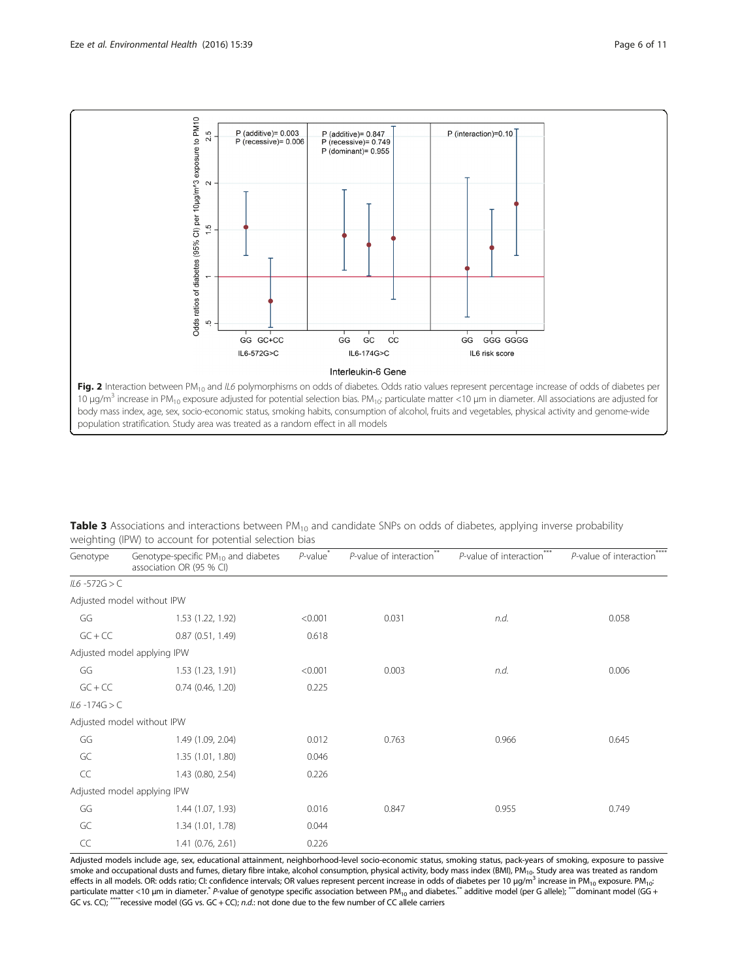<span id="page-5-0"></span>

Table 3 Associations and interactions between PM<sub>10</sub> and candidate SNPs on odds of diabetes, applying inverse probability weighting (IPW) to account for potential selection bias

| Genotype         | Genotype-specific PM <sub>10</sub> and diabetes<br>association OR (95 % CI) | $P$ -value <sup>*</sup> | $P$ -value of interaction <sup>**</sup> | $***$<br>P-value of interaction <sup>7</sup> | ****<br>P-value of interaction <sup>7</sup> |  |
|------------------|-----------------------------------------------------------------------------|-------------------------|-----------------------------------------|----------------------------------------------|---------------------------------------------|--|
| $IL6 - 572G > C$ |                                                                             |                         |                                         |                                              |                                             |  |
|                  | Adjusted model without IPW                                                  |                         |                                         |                                              |                                             |  |
| GG               | 1.53 (1.22, 1.92)                                                           | < 0.001                 | 0.031                                   | n.d.                                         | 0.058                                       |  |
| $GC + CC$        | 0.87(0.51, 1.49)                                                            | 0.618                   |                                         |                                              |                                             |  |
|                  | Adjusted model applying IPW                                                 |                         |                                         |                                              |                                             |  |
| GG               | 1.53 (1.23, 1.91)                                                           | < 0.001                 | 0.003                                   | n.d.                                         | 0.006                                       |  |
| $GC + CC$        | $0.74$ $(0.46, 1.20)$                                                       | 0.225                   |                                         |                                              |                                             |  |
| $IL6 - 174G > C$ |                                                                             |                         |                                         |                                              |                                             |  |
|                  | Adjusted model without IPW                                                  |                         |                                         |                                              |                                             |  |
| GG               | 1.49 (1.09, 2.04)                                                           | 0.012                   | 0.763                                   | 0.966                                        | 0.645                                       |  |
| GC               | 1.35 (1.01, 1.80)                                                           | 0.046                   |                                         |                                              |                                             |  |
| CC               | 1.43 (0.80, 2.54)                                                           | 0.226                   |                                         |                                              |                                             |  |
|                  | Adjusted model applying IPW                                                 |                         |                                         |                                              |                                             |  |
| GG               | 1.44 (1.07, 1.93)                                                           | 0.016                   | 0.847                                   | 0.955                                        | 0.749                                       |  |
| GC               | 1.34 (1.01, 1.78)                                                           | 0.044                   |                                         |                                              |                                             |  |
| CC               | 1.41 (0.76, 2.61)                                                           | 0.226                   |                                         |                                              |                                             |  |

Adjusted models include age, sex, educational attainment, neighborhood-level socio-economic status, smoking status, pack-years of smoking, exposure to passive smoke and occupational dusts and fumes, dietary fibre intake, alcohol consumption, physical activity, body mass index (BMI), PM<sub>10</sub>. Study area was treated as random effects in all models. OR: odds ratio; CI: confidence intervals; OR values represent percent increase in odds of diabetes per 10 μg/m<sup>3</sup> increase in PM<sub>10</sub> exposure. PM<sub>10</sub>: particulate matter <10 µm in diameter.<sup>\*</sup> P-value of genotype specific association between PM<sub>10</sub> and diabetes.\*\* additive model (per G allele); \*\*\* dominant model (GG + GC vs. CC); \*\*\*\* recessive model (GG vs. GC + CC); n.d.: not done due to the few number of CC allele carriers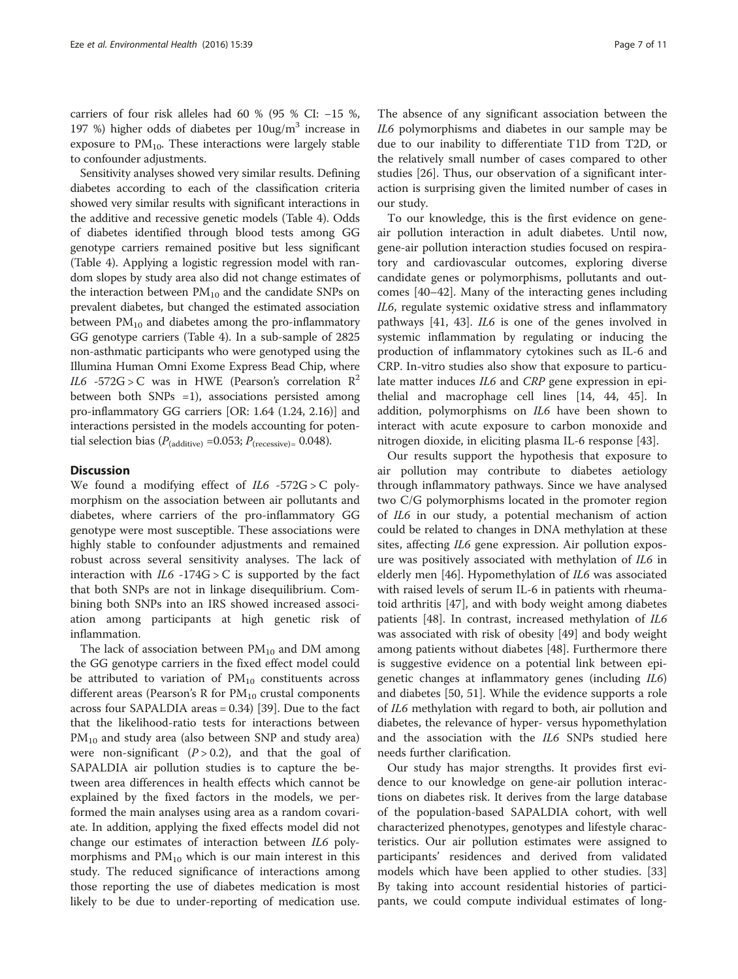carriers of four risk alleles had 60 % (95 % CI: −15 %, 197 %) higher odds of diabetes per 10ug/m3 increase in exposure to  $PM_{10}$ . These interactions were largely stable to confounder adjustments.

Sensitivity analyses showed very similar results. Defining diabetes according to each of the classification criteria showed very similar results with significant interactions in the additive and recessive genetic models (Table [4\)](#page-7-0). Odds of diabetes identified through blood tests among GG genotype carriers remained positive but less significant (Table [4](#page-7-0)). Applying a logistic regression model with random slopes by study area also did not change estimates of the interaction between  $PM_{10}$  and the candidate SNPs on prevalent diabetes, but changed the estimated association between  $PM_{10}$  and diabetes among the pro-inflammatory GG genotype carriers (Table [4](#page-7-0)). In a sub-sample of 2825 non-asthmatic participants who were genotyped using the Illumina Human Omni Exome Express Bead Chip, where IL6 -572G > C was in HWE (Pearson's correlation  $\mathbb{R}^2$ between both SNPs =1), associations persisted among pro-inflammatory GG carriers [OR: 1.64 (1.24, 2.16)] and interactions persisted in the models accounting for potential selection bias ( $P_{(additive)} = 0.053; P_{(recessive)} = 0.048$ ).

## **Discussion**

We found a modifying effect of  $IL6 -572G > C$  polymorphism on the association between air pollutants and diabetes, where carriers of the pro-inflammatory GG genotype were most susceptible. These associations were highly stable to confounder adjustments and remained robust across several sensitivity analyses. The lack of interaction with  $IL6 - 174G > C$  is supported by the fact that both SNPs are not in linkage disequilibrium. Combining both SNPs into an IRS showed increased association among participants at high genetic risk of inflammation.

The lack of association between  $PM_{10}$  and DM among the GG genotype carriers in the fixed effect model could be attributed to variation of  $PM_{10}$  constituents across different areas (Pearson's R for  $PM_{10}$  crustal components across four SAPALDIA areas = 0.34) [[39\]](#page--1-0). Due to the fact that the likelihood-ratio tests for interactions between  $PM_{10}$  and study area (also between SNP and study area) were non-significant  $(P > 0.2)$ , and that the goal of SAPALDIA air pollution studies is to capture the between area differences in health effects which cannot be explained by the fixed factors in the models, we performed the main analyses using area as a random covariate. In addition, applying the fixed effects model did not change our estimates of interaction between IL6 polymorphisms and  $PM_{10}$  which is our main interest in this study. The reduced significance of interactions among those reporting the use of diabetes medication is most likely to be due to under-reporting of medication use.

The absence of any significant association between the IL6 polymorphisms and diabetes in our sample may be due to our inability to differentiate T1D from T2D, or the relatively small number of cases compared to other studies [\[26](#page-9-0)]. Thus, our observation of a significant interaction is surprising given the limited number of cases in our study.

To our knowledge, this is the first evidence on geneair pollution interaction in adult diabetes. Until now, gene-air pollution interaction studies focused on respiratory and cardiovascular outcomes, exploring diverse candidate genes or polymorphisms, pollutants and outcomes [\[40](#page--1-0)–[42\]](#page--1-0). Many of the interacting genes including IL6, regulate systemic oxidative stress and inflammatory pathways [[41, 43](#page--1-0)]. IL6 is one of the genes involved in systemic inflammation by regulating or inducing the production of inflammatory cytokines such as IL-6 and CRP. In-vitro studies also show that exposure to particulate matter induces IL6 and CRP gene expression in epithelial and macrophage cell lines [\[14,](#page-9-0) [44](#page--1-0), [45](#page--1-0)]. In addition, polymorphisms on IL6 have been shown to interact with acute exposure to carbon monoxide and nitrogen dioxide, in eliciting plasma IL-6 response [[43\]](#page--1-0).

Our results support the hypothesis that exposure to air pollution may contribute to diabetes aetiology through inflammatory pathways. Since we have analysed two C/G polymorphisms located in the promoter region of IL6 in our study, a potential mechanism of action could be related to changes in DNA methylation at these sites, affecting IL6 gene expression. Air pollution exposure was positively associated with methylation of IL6 in elderly men [\[46](#page--1-0)]. Hypomethylation of IL6 was associated with raised levels of serum IL-6 in patients with rheumatoid arthritis [[47\]](#page--1-0), and with body weight among diabetes patients [[48](#page--1-0)]. In contrast, increased methylation of IL6 was associated with risk of obesity [[49\]](#page--1-0) and body weight among patients without diabetes [\[48](#page--1-0)]. Furthermore there is suggestive evidence on a potential link between epigenetic changes at inflammatory genes (including IL6) and diabetes [[50, 51\]](#page--1-0). While the evidence supports a role of IL6 methylation with regard to both, air pollution and diabetes, the relevance of hyper- versus hypomethylation and the association with the IL6 SNPs studied here needs further clarification.

Our study has major strengths. It provides first evidence to our knowledge on gene-air pollution interactions on diabetes risk. It derives from the large database of the population-based SAPALDIA cohort, with well characterized phenotypes, genotypes and lifestyle characteristics. Our air pollution estimates were assigned to participants' residences and derived from validated models which have been applied to other studies. [[33](#page-9-0)] By taking into account residential histories of participants, we could compute individual estimates of long-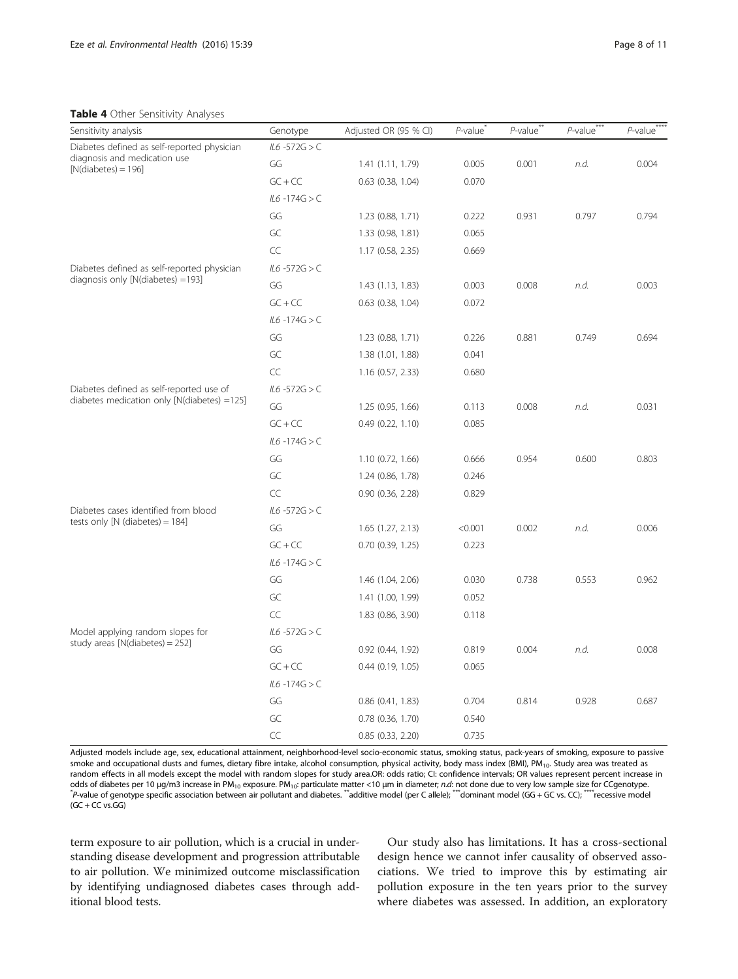#### <span id="page-7-0"></span>Table 4 Other Sensitivity Analyses

| $\blacksquare$ $\blacksquare$ $\blacksquare$ $\blacksquare$ $\blacksquare$ $\blacksquare$ $\blacksquare$ $\blacksquare$ $\blacksquare$ $\blacksquare$ $\blacksquare$ $\blacksquare$ $\blacksquare$ $\blacksquare$ $\blacksquare$ $\blacksquare$ $\blacksquare$ $\blacksquare$ $\blacksquare$ $\blacksquare$ $\blacksquare$ $\blacksquare$ $\blacksquare$ $\blacksquare$ $\blacksquare$ $\blacksquare$ $\blacksquare$ $\blacksquare$ $\blacksquare$ $\blacksquare$ $\blacksquare$ $\blacks$<br>Sensitivity analysis | Genotype         | Adjusted OR (95 % CI) | $P$ -value | $P$ -value <sup>**</sup> | $P$ -value <sup>***</sup> | P-value |
|--------------------------------------------------------------------------------------------------------------------------------------------------------------------------------------------------------------------------------------------------------------------------------------------------------------------------------------------------------------------------------------------------------------------------------------------------------------------------------------------------------------------|------------------|-----------------------|------------|--------------------------|---------------------------|---------|
| Diabetes defined as self-reported physician                                                                                                                                                                                                                                                                                                                                                                                                                                                                        | $IL6 - 572G > C$ |                       |            |                          |                           |         |
| diagnosis and medication use<br>$[N(diabetes) = 196]$                                                                                                                                                                                                                                                                                                                                                                                                                                                              | GG               | 1.41 (1.11, 1.79)     | 0.005      | 0.001                    | n.d.                      | 0.004   |
|                                                                                                                                                                                                                                                                                                                                                                                                                                                                                                                    | $GC + CC$        | $0.63$ $(0.38, 1.04)$ | 0.070      |                          |                           |         |
|                                                                                                                                                                                                                                                                                                                                                                                                                                                                                                                    | $IL6 - 174G > C$ |                       |            |                          |                           |         |
|                                                                                                                                                                                                                                                                                                                                                                                                                                                                                                                    | GG               | 1.23 (0.88, 1.71)     | 0.222      | 0.931                    | 0.797                     | 0.794   |
|                                                                                                                                                                                                                                                                                                                                                                                                                                                                                                                    | GC               | 1.33 (0.98, 1.81)     | 0.065      |                          |                           |         |
|                                                                                                                                                                                                                                                                                                                                                                                                                                                                                                                    | CC               | 1.17 (0.58, 2.35)     | 0.669      |                          |                           |         |
| Diabetes defined as self-reported physician                                                                                                                                                                                                                                                                                                                                                                                                                                                                        | $IL6 - 572G > C$ |                       |            |                          |                           |         |
| diagnosis only [N(diabetes) =193]                                                                                                                                                                                                                                                                                                                                                                                                                                                                                  | GG               | 1.43 (1.13, 1.83)     | 0.003      | 0.008                    | n.d.                      | 0.003   |
|                                                                                                                                                                                                                                                                                                                                                                                                                                                                                                                    | $GC + CC$        | $0.63$ $(0.38, 1.04)$ | 0.072      |                          |                           |         |
|                                                                                                                                                                                                                                                                                                                                                                                                                                                                                                                    | $IL6 - 174G > C$ |                       |            |                          |                           |         |
|                                                                                                                                                                                                                                                                                                                                                                                                                                                                                                                    | GG               | $1.23$ (0.88, 1.71)   | 0.226      | 0.881                    | 0.749                     | 0.694   |
|                                                                                                                                                                                                                                                                                                                                                                                                                                                                                                                    | GC               | 1.38 (1.01, 1.88)     | 0.041      |                          |                           |         |
|                                                                                                                                                                                                                                                                                                                                                                                                                                                                                                                    | CC               | 1.16 (0.57, 2.33)     | 0.680      |                          |                           |         |
| Diabetes defined as self-reported use of                                                                                                                                                                                                                                                                                                                                                                                                                                                                           | $IL6 - 572G > C$ |                       |            |                          |                           |         |
| diabetes medication only [N(diabetes) =125]                                                                                                                                                                                                                                                                                                                                                                                                                                                                        | GG               | 1.25 (0.95, 1.66)     | 0.113      | 0.008                    | n.d.                      | 0.031   |
|                                                                                                                                                                                                                                                                                                                                                                                                                                                                                                                    | $GC + CC$        | 0.49(0.22, 1.10)      | 0.085      |                          |                           |         |
|                                                                                                                                                                                                                                                                                                                                                                                                                                                                                                                    | $IL6 - 174G > C$ |                       |            |                          |                           |         |
|                                                                                                                                                                                                                                                                                                                                                                                                                                                                                                                    | GG               | 1.10 (0.72, 1.66)     | 0.666      | 0.954                    | 0.600                     | 0.803   |
|                                                                                                                                                                                                                                                                                                                                                                                                                                                                                                                    | GC               | 1.24 (0.86, 1.78)     | 0.246      |                          |                           |         |
|                                                                                                                                                                                                                                                                                                                                                                                                                                                                                                                    | CC               | $0.90$ $(0.36, 2.28)$ | 0.829      |                          |                           |         |
| Diabetes cases identified from blood                                                                                                                                                                                                                                                                                                                                                                                                                                                                               | $IL6 - 572G > C$ |                       |            |                          |                           |         |
| tests only [N (diabetes) = $184$ ]                                                                                                                                                                                                                                                                                                                                                                                                                                                                                 | GG               | 1.65(1.27, 2.13)      | < 0.001    | 0.002                    | n.d.                      | 0.006   |
|                                                                                                                                                                                                                                                                                                                                                                                                                                                                                                                    | $GC + CC$        | $0.70$ $(0.39, 1.25)$ | 0.223      |                          |                           |         |
|                                                                                                                                                                                                                                                                                                                                                                                                                                                                                                                    | $IL6 - 174G > C$ |                       |            |                          |                           |         |
|                                                                                                                                                                                                                                                                                                                                                                                                                                                                                                                    | GG               | 1.46 (1.04, 2.06)     | 0.030      | 0.738                    | 0.553                     | 0.962   |
|                                                                                                                                                                                                                                                                                                                                                                                                                                                                                                                    | GC               | 1.41 (1.00, 1.99)     | 0.052      |                          |                           |         |
|                                                                                                                                                                                                                                                                                                                                                                                                                                                                                                                    | CC               | 1.83 (0.86, 3.90)     | 0.118      |                          |                           |         |
| Model applying random slopes for                                                                                                                                                                                                                                                                                                                                                                                                                                                                                   | $IL6 - 572G > C$ |                       |            |                          |                           |         |
| study areas $[N(diabetes) = 252]$                                                                                                                                                                                                                                                                                                                                                                                                                                                                                  | GG               | 0.92 (0.44, 1.92)     | 0.819      | 0.004                    | n.d.                      | 0.008   |
|                                                                                                                                                                                                                                                                                                                                                                                                                                                                                                                    | $GC + CC$        | $0.44$ (0.19, 1.05)   | 0.065      |                          |                           |         |
|                                                                                                                                                                                                                                                                                                                                                                                                                                                                                                                    | $IL6 - 174G > C$ |                       |            |                          |                           |         |
|                                                                                                                                                                                                                                                                                                                                                                                                                                                                                                                    | GG               | 0.86(0.41, 1.83)      | 0.704      | 0.814                    | 0.928                     | 0.687   |
|                                                                                                                                                                                                                                                                                                                                                                                                                                                                                                                    | GC               | $0.78$ $(0.36, 1.70)$ | 0.540      |                          |                           |         |
|                                                                                                                                                                                                                                                                                                                                                                                                                                                                                                                    | CC               | $0.85$ $(0.33, 2.20)$ | 0.735      |                          |                           |         |

Adjusted models include age, sex, educational attainment, neighborhood-level socio-economic status, smoking status, pack-years of smoking, exposure to passive smoke and occupational dusts and fumes, dietary fibre intake, alcohol consumption, physical activity, body mass index (BMI), PM<sub>10</sub>. Study area was treated as random effects in all models except the model with random slopes for study area.OR: odds ratio; CI: confidence intervals; OR values represent percent increase in odds of diabetes per 10 μg/m3 increase in PM<sub>10</sub> exposure. PM<sub>10</sub>: particulate matter <10 μm in diameter; n.d: not done due to very low sample size for CCgenotype. P-value of genotype specific association between air pollutant and diabetes. \*\*additive model (per C allele); \*\*\*dominant model (GG + GC vs. CC); \*\*\*\*recessive model  $(GC + CC vs.GG)$ 

term exposure to air pollution, which is a crucial in understanding disease development and progression attributable to air pollution. We minimized outcome misclassification by identifying undiagnosed diabetes cases through additional blood tests.

Our study also has limitations. It has a cross-sectional design hence we cannot infer causality of observed associations. We tried to improve this by estimating air pollution exposure in the ten years prior to the survey where diabetes was assessed. In addition, an exploratory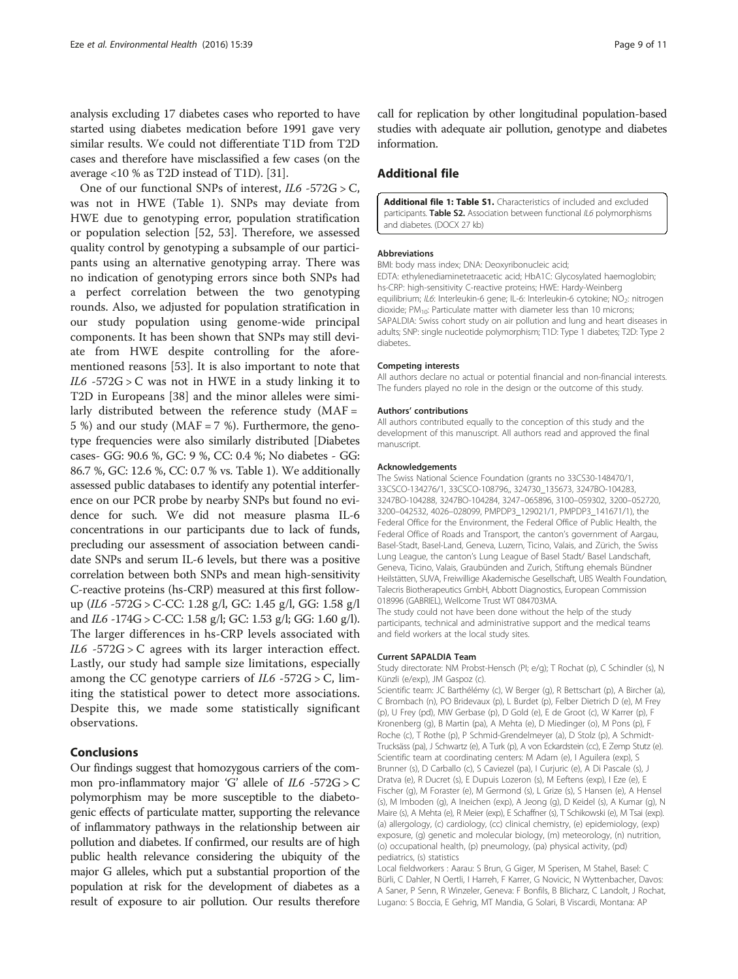<span id="page-8-0"></span>analysis excluding 17 diabetes cases who reported to have started using diabetes medication before 1991 gave very similar results. We could not differentiate T1D from T2D cases and therefore have misclassified a few cases (on the average <10 % as T2D instead of T1D). [\[31\]](#page-9-0).

One of our functional SNPs of interest,  $IL6 - 572G > C$ , was not in HWE (Table [1](#page-3-0)). SNPs may deviate from HWE due to genotyping error, population stratification or population selection [\[52](#page--1-0), [53](#page--1-0)]. Therefore, we assessed quality control by genotyping a subsample of our participants using an alternative genotyping array. There was no indication of genotyping errors since both SNPs had a perfect correlation between the two genotyping rounds. Also, we adjusted for population stratification in our study population using genome-wide principal components. It has been shown that SNPs may still deviate from HWE despite controlling for the aforementioned reasons [[53\]](#page--1-0). It is also important to note that IL6 -572G > C was not in HWE in a study linking it to T2D in Europeans [[38](#page--1-0)] and the minor alleles were similarly distributed between the reference study  $(MAF =$ 5 %) and our study (MAF = 7 %). Furthermore, the genotype frequencies were also similarly distributed [Diabetes cases- GG: 90.6 %, GC: 9 %, CC: 0.4 %; No diabetes - GG: 86.7 %, GC: 12.6 %, CC: 0.7 % vs. Table [1\)](#page-3-0). We additionally assessed public databases to identify any potential interference on our PCR probe by nearby SNPs but found no evidence for such. We did not measure plasma IL-6 concentrations in our participants due to lack of funds, precluding our assessment of association between candidate SNPs and serum IL-6 levels, but there was a positive correlation between both SNPs and mean high-sensitivity C-reactive proteins (hs-CRP) measured at this first followup (IL6 -572G > C-CC: 1.28 g/l, GC: 1.45 g/l, GG: 1.58 g/l and IL6 -174G > C-CC: 1.58 g/l; GC: 1.53 g/l; GG: 1.60 g/l). The larger differences in hs-CRP levels associated with  $IL6 - 572G > C$  agrees with its larger interaction effect. Lastly, our study had sample size limitations, especially among the CC genotype carriers of  $IL6 - 572G > C$ , limiting the statistical power to detect more associations. Despite this, we made some statistically significant observations.

## Conclusions

Our findings suggest that homozygous carriers of the common pro-inflammatory major 'G' allele of  $IL6 - 572G > C$ polymorphism may be more susceptible to the diabetogenic effects of particulate matter, supporting the relevance of inflammatory pathways in the relationship between air pollution and diabetes. If confirmed, our results are of high public health relevance considering the ubiquity of the major G alleles, which put a substantial proportion of the population at risk for the development of diabetes as a result of exposure to air pollution. Our results therefore call for replication by other longitudinal population-based studies with adequate air pollution, genotype and diabetes information.

# Additional file

[Additional file 1: Table S1.](dx.doi.org/10.1186/s12940-016-0120-5) Characteristics of included and excluded participants. Table S2. Association between functional IL6 polymorphisms and diabetes. (DOCX 27 kb)

#### Abbreviations

BMI: body mass index; DNA: Deoxyribonucleic acid;

EDTA: ethylenediaminetetraacetic acid; HbA1C: Glycosylated haemoglobin; hs-CRP: high-sensitivity C-reactive proteins; HWE: Hardy-Weinberg equilibrium; IL6: Interleukin-6 gene; IL-6: Interleukin-6 cytokine; NO<sub>2</sub>: nitrogen dioxide;  $PM_{10}$ : Particulate matter with diameter less than 10 microns; SAPALDIA: Swiss cohort study on air pollution and lung and heart diseases in adults; SNP: single nucleotide polymorphism; T1D: Type 1 diabetes; T2D: Type 2 diabetes..

#### Competing interests

All authors declare no actual or potential financial and non-financial interests. The funders played no role in the design or the outcome of this study.

#### Authors' contributions

All authors contributed equally to the conception of this study and the development of this manuscript. All authors read and approved the final manuscript.

#### Acknowledgements

The Swiss National Science Foundation (grants no 33CS30-148470/1, 33CSCO-134276/1, 33CSCO-108796,, 324730\_135673, 3247BO-104283, 3247BO-104288, 3247BO-104284, 3247–065896, 3100–059302, 3200–052720, 3200–042532, 4026–028099, PMPDP3\_129021/1, PMPDP3\_141671/1), the Federal Office for the Environment, the Federal Office of Public Health, the Federal Office of Roads and Transport, the canton's government of Aargau, Basel-Stadt, Basel-Land, Geneva, Luzern, Ticino, Valais, and Zürich, the Swiss Lung League, the canton's Lung League of Basel Stadt/ Basel Landschaft, Geneva, Ticino, Valais, Graubünden and Zurich, Stiftung ehemals Bündner Heilstätten, SUVA, Freiwillige Akademische Gesellschaft, UBS Wealth Foundation, Talecris Biotherapeutics GmbH, Abbott Diagnostics, European Commission 018996 (GABRIEL), Wellcome Trust WT 084703MA.

The study could not have been done without the help of the study participants, technical and administrative support and the medical teams and field workers at the local study sites.

#### Current SAPALDIA Team

Study directorate: NM Probst-Hensch (PI; e/g); T Rochat (p), C Schindler (s), N Künzli (e/exp), JM Gaspoz (c).

Scientific team: JC Barthélémy (c), W Berger (g), R Bettschart (p), A Bircher (a), C Brombach (n), PO Bridevaux (p), L Burdet (p), Felber Dietrich D (e), M Frey (p), U Frey (pd), MW Gerbase (p), D Gold (e), E de Groot (c), W Karrer (p), F Kronenberg (g), B Martin (pa), A Mehta (e), D Miedinger (o), M Pons (p), F Roche (c), T Rothe (p), P Schmid-Grendelmeyer (a), D Stolz (p), A Schmidt-Trucksäss (pa), J Schwartz (e), A Turk (p), A von Eckardstein (cc), E Zemp Stutz (e). Scientific team at coordinating centers: M Adam (e), I Aguilera (exp), S Brunner (s), D Carballo (c), S Caviezel (pa), I Curjuric (e), A Di Pascale (s), J Dratva (e), R Ducret (s), E Dupuis Lozeron (s), M Eeftens (exp), I Eze (e), E Fischer (g), M Foraster (e), M Germond (s), L Grize (s), S Hansen (e), A Hensel (s), M Imboden (g), A Ineichen (exp), A Jeong (g), D Keidel (s), A Kumar (g), N Maire (s), A Mehta (e), R Meier (exp), E Schaffner (s), T Schikowski (e), M Tsai (exp). (a) allergology, (c) cardiology, (cc) clinical chemistry, (e) epidemiology, (exp) exposure, (g) genetic and molecular biology, (m) meteorology, (n) nutrition, (o) occupational health, (p) pneumology, (pa) physical activity, (pd) pediatrics, (s) statistics

Local fieldworkers : Aarau: S Brun, G Giger, M Sperisen, M Stahel, Basel: C Bürli, C Dahler, N Oertli, I Harreh, F Karrer, G Novicic, N Wyttenbacher, Davos: A Saner, P Senn, R Winzeler, Geneva: F Bonfils, B Blicharz, C Landolt, J Rochat, Lugano: S Boccia, E Gehrig, MT Mandia, G Solari, B Viscardi, Montana: AP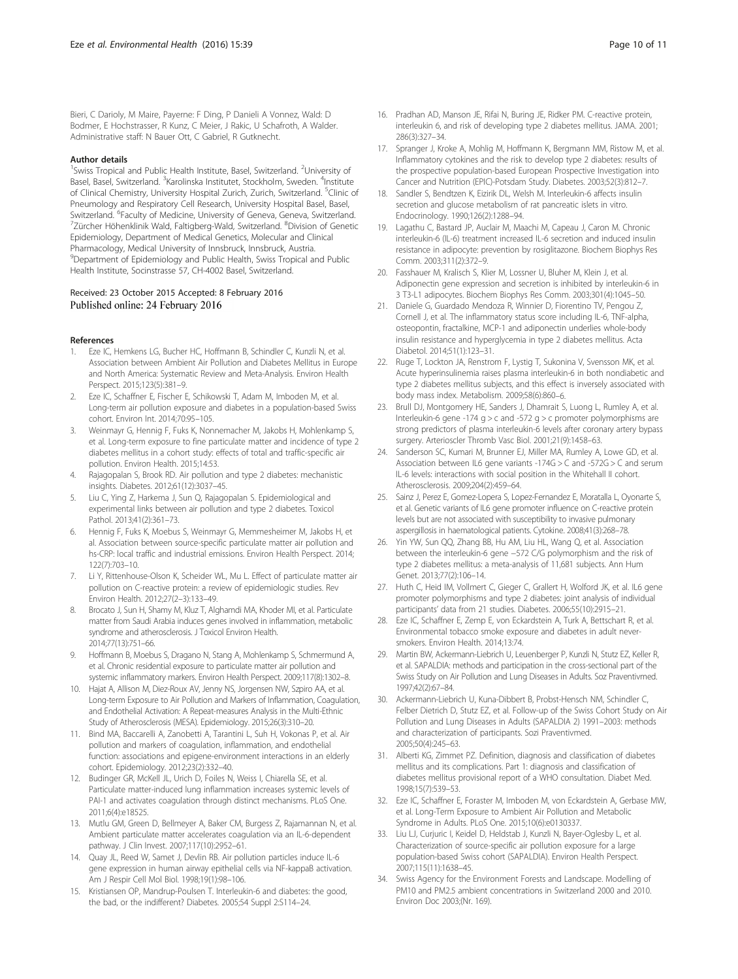<span id="page-9-0"></span>Bieri, C Darioly, M Maire, Payerne: F Ding, P Danieli A Vonnez, Wald: D Bodmer, E Hochstrasser, R Kunz, C Meier, J Rakic, U Schafroth, A Walder. Administrative staff: N Bauer Ott, C Gabriel, R Gutknecht.

#### Author details

<sup>1</sup>Swiss Tropical and Public Health Institute, Basel, Switzerland. <sup>2</sup>University of Basel, Basel, Switzerland. <sup>3</sup>Karolinska Institutet, Stockholm, Sweden. <sup>4</sup>Institute of Clinical Chemistry, University Hospital Zurich, Zurich, Switzerland. <sup>5</sup>Clinic of Pneumology and Respiratory Cell Research, University Hospital Basel, Basel, Switzerland. <sup>6</sup>Faculty of Medicine, University of Geneva, Geneva, Switzerland.<br><sup>7</sup>Zürcher Höhenklinik Wald, Faltigberg Wald, Switzerland, <sup>8</sup>Division of Geneti Zürcher Höhenklinik Wald, Faltigberg-Wald, Switzerland. <sup>8</sup>Division of Genetic Epidemiology, Department of Medical Genetics, Molecular and Clinical Pharmacology, Medical University of Innsbruck, Innsbruck, Austria. <sup>9</sup> Department of Epidemiology and Public Health, Swiss Tropical and Public Health Institute, Socinstrasse 57, CH-4002 Basel, Switzerland.

#### Received: 23 October 2015 Accepted: 8 February 2016 Published online: 24 February 2016

#### References

- Eze IC, Hemkens LG, Bucher HC, Hoffmann B, Schindler C, Kunzli N, et al. Association between Ambient Air Pollution and Diabetes Mellitus in Europe and North America: Systematic Review and Meta-Analysis. Environ Health Perspect. 2015;123(5):381–9.
- 2. Eze IC, Schaffner E, Fischer E, Schikowski T, Adam M, Imboden M, et al. Long-term air pollution exposure and diabetes in a population-based Swiss cohort. Environ Int. 2014;70:95–105.
- Weinmayr G, Hennig F, Fuks K, Nonnemacher M, Jakobs H, Mohlenkamp S, et al. Long-term exposure to fine particulate matter and incidence of type 2 diabetes mellitus in a cohort study: effects of total and traffic-specific air pollution. Environ Health. 2015;14:53.
- 4. Rajagopalan S, Brook RD. Air pollution and type 2 diabetes: mechanistic insights. Diabetes. 2012;61(12):3037–45.
- 5. Liu C, Ying Z, Harkema J, Sun Q, Rajagopalan S. Epidemiological and experimental links between air pollution and type 2 diabetes. Toxicol Pathol. 2013;41(2):361–73.
- 6. Hennig F, Fuks K, Moebus S, Weinmayr G, Memmesheimer M, Jakobs H, et al. Association between source-specific particulate matter air pollution and hs-CRP: local traffic and industrial emissions. Environ Health Perspect. 2014; 122(7):703–10.
- 7. Li Y, Rittenhouse-Olson K, Scheider WL, Mu L. Effect of particulate matter air pollution on C-reactive protein: a review of epidemiologic studies. Rev Environ Health. 2012;27(2–3):133–49.
- Brocato J, Sun H, Shamy M, Kluz T, Alghamdi MA, Khoder MI, et al. Particulate matter from Saudi Arabia induces genes involved in inflammation, metabolic syndrome and atherosclerosis. J Toxicol Environ Health. 2014;77(13):751–66.
- 9. Hoffmann B, Moebus S, Dragano N, Stang A, Mohlenkamp S, Schmermund A, et al. Chronic residential exposure to particulate matter air pollution and systemic inflammatory markers. Environ Health Perspect. 2009;117(8):1302–8.
- 10. Hajat A, Allison M, Diez-Roux AV, Jenny NS, Jorgensen NW, Szpiro AA, et al. Long-term Exposure to Air Pollution and Markers of Inflammation, Coagulation, and Endothelial Activation: A Repeat-measures Analysis in the Multi-Ethnic Study of Atherosclerosis (MESA). Epidemiology. 2015;26(3):310–20.
- 11. Bind MA, Baccarelli A, Zanobetti A, Tarantini L, Suh H, Vokonas P, et al. Air pollution and markers of coagulation, inflammation, and endothelial function: associations and epigene-environment interactions in an elderly cohort. Epidemiology. 2012;23(2):332–40.
- 12. Budinger GR, McKell JL, Urich D, Foiles N, Weiss I, Chiarella SE, et al. Particulate matter-induced lung inflammation increases systemic levels of PAI-1 and activates coagulation through distinct mechanisms. PLoS One. 2011;6(4):e18525.
- 13. Mutlu GM, Green D, Bellmeyer A, Baker CM, Burgess Z, Rajamannan N, et al. Ambient particulate matter accelerates coagulation via an IL-6-dependent pathway. J Clin Invest. 2007;117(10):2952–61.
- 14. Quay JL, Reed W, Samet J, Devlin RB. Air pollution particles induce IL-6 gene expression in human airway epithelial cells via NF-kappaB activation. Am J Respir Cell Mol Biol. 1998;19(1):98–106.
- 15. Kristiansen OP, Mandrup-Poulsen T. Interleukin-6 and diabetes: the good, the bad, or the indifferent? Diabetes. 2005;54 Suppl 2:S114–24.
- 16. Pradhan AD, Manson JE, Rifai N, Buring JE, Ridker PM. C-reactive protein, interleukin 6, and risk of developing type 2 diabetes mellitus. JAMA. 2001; 286(3):327–34.
- 17. Spranger J, Kroke A, Mohlig M, Hoffmann K, Bergmann MM, Ristow M, et al. Inflammatory cytokines and the risk to develop type 2 diabetes: results of the prospective population-based European Prospective Investigation into Cancer and Nutrition (EPIC)-Potsdam Study. Diabetes. 2003;52(3):812–7.
- 18. Sandler S, Bendtzen K, Eizirik DL, Welsh M. Interleukin-6 affects insulin secretion and glucose metabolism of rat pancreatic islets in vitro. Endocrinology. 1990;126(2):1288–94.
- 19. Lagathu C, Bastard JP, Auclair M, Maachi M, Capeau J, Caron M. Chronic interleukin-6 (IL-6) treatment increased IL-6 secretion and induced insulin resistance in adipocyte: prevention by rosiglitazone. Biochem Biophys Res Comm. 2003;311(2):372–9.
- 20. Fasshauer M, Kralisch S, Klier M, Lossner U, Bluher M, Klein J, et al. Adiponectin gene expression and secretion is inhibited by interleukin-6 in 3 T3-L1 adipocytes. Biochem Biophys Res Comm. 2003;301(4):1045–50.
- 21. Daniele G, Guardado Mendoza R, Winnier D, Fiorentino TV, Pengou Z, Cornell J, et al. The inflammatory status score including IL-6, TNF-alpha, osteopontin, fractalkine, MCP-1 and adiponectin underlies whole-body insulin resistance and hyperglycemia in type 2 diabetes mellitus. Acta Diabetol. 2014;51(1):123–31.
- 22. Ruge T, Lockton JA, Renstrom F, Lystig T, Sukonina V, Svensson MK, et al. Acute hyperinsulinemia raises plasma interleukin-6 in both nondiabetic and type 2 diabetes mellitus subjects, and this effect is inversely associated with body mass index. Metabolism. 2009;58(6):860–6.
- 23. Brull DJ, Montgomery HE, Sanders J, Dhamrait S, Luong L, Rumley A, et al. Interleukin-6 gene -174 g  $>$  c and -572 g  $>$  c promoter polymorphisms are strong predictors of plasma interleukin-6 levels after coronary artery bypass surgery. Arterioscler Thromb Vasc Biol. 2001;21(9):1458–63.
- 24. Sanderson SC, Kumari M, Brunner EJ, Miller MA, Rumley A, Lowe GD, et al. Association between IL6 gene variants -174G > C and -572G > C and serum IL-6 levels: interactions with social position in the Whitehall II cohort. Atherosclerosis. 2009;204(2):459–64.
- 25. Sainz J, Perez E, Gomez-Lopera S, Lopez-Fernandez E, Moratalla L, Oyonarte S, et al. Genetic variants of IL6 gene promoter influence on C-reactive protein levels but are not associated with susceptibility to invasive pulmonary aspergillosis in haematological patients. Cytokine. 2008;41(3):268–78.
- Yin YW, Sun QQ, Zhang BB, Hu AM, Liu HL, Wang Q, et al. Association between the interleukin-6 gene −572 C/G polymorphism and the risk of type 2 diabetes mellitus: a meta-analysis of 11,681 subjects. Ann Hum Genet. 2013;77(2):106–14.
- 27. Huth C, Heid IM, Vollmert C, Gieger C, Grallert H, Wolford JK, et al. IL6 gene promoter polymorphisms and type 2 diabetes: joint analysis of individual participants' data from 21 studies. Diabetes. 2006;55(10):2915–21.
- 28. Eze IC, Schaffner E, Zemp E, von Eckardstein A, Turk A, Bettschart R, et al. Environmental tobacco smoke exposure and diabetes in adult neversmokers. Environ Health. 2014;13:74.
- 29. Martin BW, Ackermann-Liebrich U, Leuenberger P, Kunzli N, Stutz EZ, Keller R, et al. SAPALDIA: methods and participation in the cross-sectional part of the Swiss Study on Air Pollution and Lung Diseases in Adults. Soz Praventivmed. 1997;42(2):67–84.
- 30. Ackermann-Liebrich U, Kuna-Dibbert B, Probst-Hensch NM, Schindler C, Felber Dietrich D, Stutz EZ, et al. Follow-up of the Swiss Cohort Study on Air Pollution and Lung Diseases in Adults (SAPALDIA 2) 1991–2003: methods and characterization of participants. Sozi Praventivmed. 2005;50(4):245–63.
- 31. Alberti KG, Zimmet PZ. Definition, diagnosis and classification of diabetes mellitus and its complications. Part 1: diagnosis and classification of diabetes mellitus provisional report of a WHO consultation. Diabet Med. 1998;15(7):539–53.
- 32. Eze IC, Schaffner E, Foraster M, Imboden M, von Eckardstein A, Gerbase MW, et al. Long-Term Exposure to Ambient Air Pollution and Metabolic Syndrome in Adults. PLoS One. 2015;10(6):e0130337.
- 33. Liu LJ, Curjuric I, Keidel D, Heldstab J, Kunzli N, Bayer-Oglesby L, et al. Characterization of source-specific air pollution exposure for a large population-based Swiss cohort (SAPALDIA). Environ Health Perspect. 2007;115(11):1638–45.
- 34. Swiss Agency for the Environment Forests and Landscape. Modelling of PM10 and PM2.5 ambient concentrations in Switzerland 2000 and 2010. Environ Doc 2003;(Nr. 169).